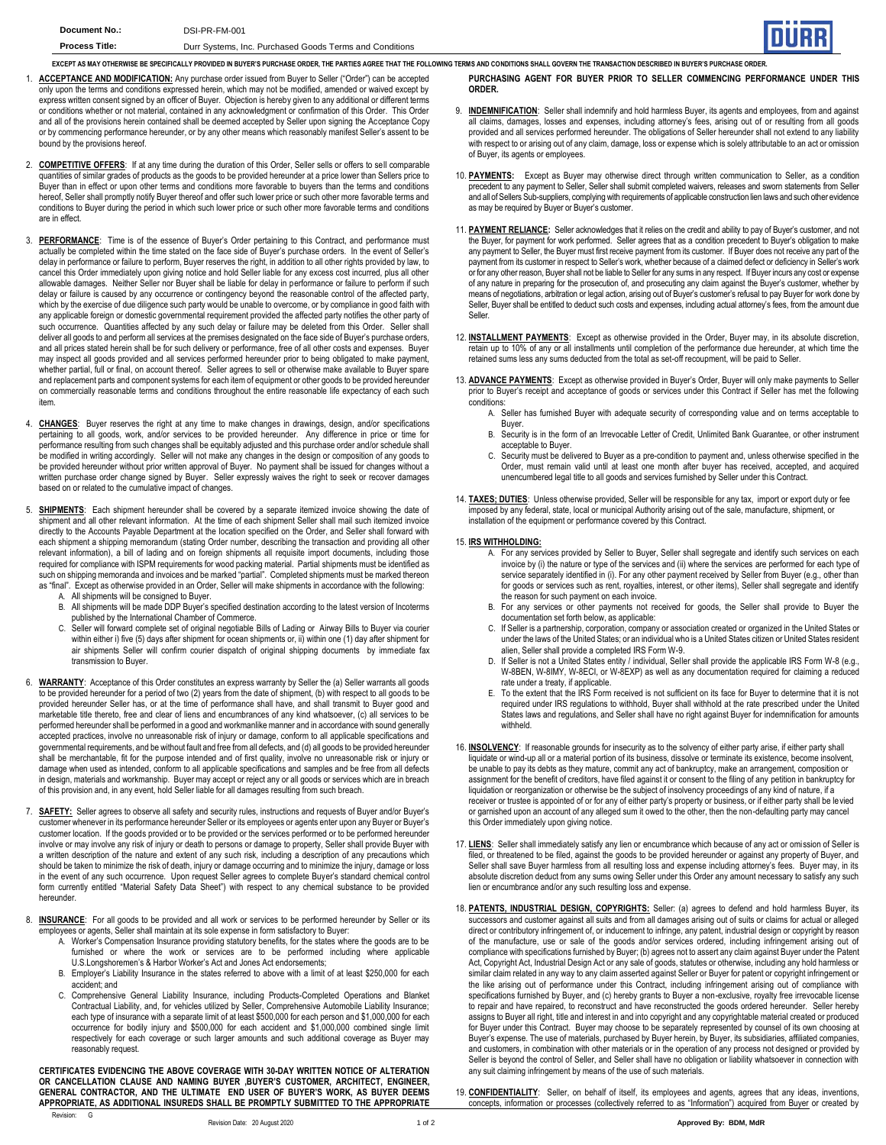EXCEPT AS MAY OTHERWISE BE SPECIFICALLY PROVIDED IN BUYER'S PURCHASE ORDER, THE PARTIES AGREE THAT THE FOLLOWING TERMS AND CONDITIONS SHALL GOVERN THE TRANSACTION DESCRIBED IN BUYER'S PURCHASE ORDER

- 1. **ACCEPTANCE AND MODIFICATION:** Any purchase order issued from Buyer to Seller ("Order") can be accepted or<br>only upon the terms and conditions expressed herein, which may not be modified, amended or waived except by express written consent signed by an officer of Buyer. Objection is hereby given to any additional or different terms or conditions whether or not material, contained in any acknowledgment or confirmation of this Order. This Order and all of the provisions herein contained shall be deemed accepted by Seller upon signing the Acceptance Copy or by commencing performance hereunder, or by any other means which reasonably manifest Seller's assent to be bound by the provisions hereof.
- 2. **COMPETITIVE OFFERS**: If at any time during the duration of this Order, Seller sells or offers to sell comparable quantities of similar grades of products as the goods to be provided hereunder at a price lower than Sellers price to Buyer than in effect or upon other terms and conditions more favorable to buyers than the terms and conditions hereof, Seller shall promptly notify Buyer thereof and offer such lower price or such other more favorable terms and conditions to Buyer during the period in which such lower price or such other more favorable terms and conditions are in effect.
- 3. **PERFORMANCE**: Time is of the essence of Buyer's Order pertaining to this Contract, and performance must actually be completed within the time stated on the face side of Buyer's purchase orders. In the event of Seller's delay in performance or failure to perform, Buyer reserves the right, in addition to all other rights provided by law, to<br>cancel this Order immediately upon giving notice and hold Seller liable for any excess cost incurred allowable damages. Neither Seller nor Buyer shall be liable for delay in performance or failure to perform if such<br>delay or failure is caused by any occurrence or contingency beyond the reasonable control of the affected which by the exercise of due diligence such party would be unable to overcome, or by compliance in good faith with any applicable foreign or domestic governmental requirement provided the affected party notifies the other party of such occurrence. Quantities affected by any such delay or failure may be deleted from this Order. Seller shall deliver all goods to and perform all services at the premises designated on the face side of Buyer's purchase orders, and all prices stated herein shall be for such delivery or performance, free of all other costs and expenses. Buyer may inspect all goods provided and all services performed hereunder prior to being obligated to make payment, whether partial, full or final, on account thereof. Seller agrees to sell or otherwise make available to Buyer spare and replacement parts and component systems for each item of equipment or other goods to be provided hereunder on commercially reasonable terms and conditions throughout the entire reasonable life expectancy of each such item.
- 4. **CHANGES**: Buyer reserves the right at any time to make changes in drawings, design, and/or specifications pertaining to all goods, work, and/or services to be provided hereunder. Any difference in price or time for performance resulting from such changes shall be equitably adjusted and this purchase order and/or schedule shall be modified in writing accordingly. Seller will not make any changes in the design or composition of any goods to be provided hereunder without prior written approval of Buyer. No payment shall be issued for changes without a written purchase order change signed by Buyer. Seller expressly waives the right to seek or recover damages based on or related to the cumulative impact of changes.
- 5. **SHIPMENTS:** Each shipment hereunder shall be covered by a separate itemized invoice showing the date of shipment and all other relevant information. At the time of each shipment Seller shall mail such itemized invoice directly to the Accounts Payable Department at the location specified on the Order, and Seller shall forward with each shipment a shipping memorandum (stating Order number, describing the transaction and providing all other relevant information), a bill of lading and on foreign shipments all requisite import documents, including those required for compliance with ISPM requirements for wood packing material. Partial shipments must be identified as such on shipping memoranda and invoices and be marked "partial". Completed shipments must be marked thereon as "final". Except as otherwise provided in an Order, Seller will make shipments in accordance with the following:
	- A. All shipments will be consigned to Buyer.<br>B. All shipments will be made DDP Buyer's s
	- All shipments will be made DDP Buyer's specified destination according to the latest version of Incoterms published by the International Chamber of Commerce.
	- C. Seller will forward complete set of original negotiable Bills of Lading or Airway Bills to Buyer via courier within either i) five (5) days after shipment for ocean shipments or, ii) within one (1) day after shipment for air shipments Seller will confirm courier dispatch of original shipping documents by immediate fax transmission to Buyer.
- 6. **WARRANTY**: Acceptance of this Order constitutes an express warranty by Seller the (a) Seller warrants all goods to be provided hereunder for a period of two (2) years from the date of shipment, (b) with respect to all goods to be provided hereunder Seller has, or at the time of performance shall have, and shall transmit to Buyer good and marketable title thereto, free and clear of liens and encumbrances of any kind whatsoever, (c) all services to be performed hereunder shall be performed in a good and workmanlike manner and in accordance with sound generally accepted practices, involve no unreasonable risk of injury or damage, conform to all applicable specifications and governmental requirements, and be without fault and free from all defects, and (d) all goods to be provided hereunder shall be merchantable, fit for the purpose intended and of first quality, involve no unreasonable risk or injury or<br>damage when used as intended, conform to all applicable specifications and samples and be free from all de in design, materials and workmanship. Buyer may accept or reject any or all goods or services which are in breach of this provision and, in any event, hold Seller liable for all damages resulting from such breach.
- 7. **SAFETY:** Seller agrees to observe all safety and security rules, instructions and requests of Buyer and/or Buyer's customer whenever in its performance hereunder Seller or its employees or agents enter upon any Buyer or Buyer's customer location. If the goods provided or to be provided or the services performed or to be performed hereunder<br>involve or may involve any risk of injury or death to persons or damage to property, Seller shall provide Bu a written description of the nature and extent of any such risk, including a description of any precautions which should be taken to minimize the risk of death, injury or damage occurring and to minimize the injury, damage or loss in the event of any such occurrence. Upon request Seller agrees to complete Buyer's standard chemical control form currently entitled "Material Safety Data Sheet") with respect to any chemical substance to be provided hereunder.
- 8. **INSURANCE**: For all goods to be provided and all work or services to be performed hereunder by Seller or its employees or agents, Seller shall maintain at its sole expense in form satisfactory to Buyer:
	- A. Worker's Compensation Insurance providing statutory benefits, for the states where the goods are to be furnished or where the work or services are to be performed including where applicable U.S.Longshoremen's & Harbor Worker's Act and Jones Act endorsements;
	- B. Employer's Liability Insurance in the states referred to above with a limit of at least \$250,000 for each accident; and
	- C. Comprehensive General Liability Insurance, including Products-Completed Operations and Blanket Contractual Liability, and, for vehicles utilized by Seller, Comprehensive Automobile Liability Insurance; each type of insurance with a separate limit of at least \$500,000 for each person and \$1,000,000 for each occurrence for bodily injury and \$500,000 for each accident and \$1,000,000 combined single limit respectively for each coverage or such larger amounts and such additional coverage as Buyer may reasonably request.

**CERTIFICATES EVIDENCING THE ABOVE COVERAGE WITH 30-DAY WRITTEN NOTICE OF ALTERATION OR CANCELLATION CLAUSE AND NAMING BUYER ,BUYER'S CUSTOMER, ARCHITECT, ENGINEER, GENERAL CONTRACTOR, AND THE ULTIMATE END USER OF BUYER'S WORK, AS BUYER DEEMS APPROPRIATE, AS ADDITIONAL INSUREDS SHALL BE PROMPTLY SUBMITTED TO THE APPROPRIATE** 

**PURCHASING AGENT FOR BUYER PRIOR TO SELLER COMMENCING PERFORMANCE UNDER THIS ORDER.**

- 9. **INDEMNIFICATION**: Seller shall indemnify and hold harmless Buyer, its agents and employees, from and against all claims, damages, losses and expenses, including attorney's fees, arising out of or resulting from all goods provided and all services performed hereunder. The obligations of Seller hereunder shall not extend to any liability with respect to or arising out of any claim, damage, loss or expense which is solely attributable to an act or omission of Buyer, its agents or employees.
- 10. **PAYMENTS:** Except as Buyer may otherwise direct through written communication to Seller, as a condition precedent to any payment to Seller, Seller shall submit completed waivers, releases and sworn statements from Seller and all of Sellers Sub-suppliers, complying with requirements of applicable construction lien laws and such other evidence as may be required by Buyer or Buyer's customer.
- 11. **PAYMENT RELIANCE:** Seller acknowledges that it relies on the credit and ability to pay of Buyer's customer, and not the Buyer, for payment for work performed. Seller agrees that as a condition precedent to Buyer's obligation to make any payment to Seller, the Buyer must first receive payment from its customer. If Buyer does not receive any part of the payment from its customer in respect to Seller's work, whether because of a claimed defect or deficiency in Seller's work<br>or for any other reason, Buyer shall not be liable to Seller for any sums in any respect. If Buyer i of any nature in preparing for the prosecution of, and prosecuting any claim against the Buyer's customer, whether by<br>means of negotiations, arbitration or legal action, arising out of Buyer's customer's refusal to pay Buy Seller, Buyer shall be entitled to deduct such costs and expenses, including actual attorney's fees, from the amount due Seller.
- 12. **INSTALLMENT PAYMENTS**: Except as otherwise provided in the Order, Buyer may, in its absolute discretion, retain up to 10% of any or all installments until completion of the performance due hereunder, at which time the retained sums less any sums deducted from the total as set-off recoupment, will be paid to Seller.
- 13. **ADVANCE PAYMENTS**: Except as otherwise provided in Buyer's Order, Buyer will only make payments to Seller prior to Buyer's receipt and acceptance of goods or services under this Contract if Seller has met the following conditions:
	- A. Seller has furnished Buyer with adequate security of corresponding value and on terms acceptable to Buyer.
	- B. Security is in the form of an Irrevocable Letter of Credit, Unlimited Bank Guarantee, or other instrument acceptable to Buyer.
	- C. Security must be delivered to Buyer as a pre-condition to payment and, unless otherwise specified in the Order, must remain valid until at least one month after buyer has received, accepted, and acquired unencumbered legal title to all goods and services furnished by Seller under this Contract.
- 14. **TAXES; DUTIES**: Unless otherwise provided, Seller will be responsible for any tax, import or export duty or fee imposed by any federal, state, local or municipal Authority arising out of the sale, manufacture, shipment, or installation of the equipment or performance covered by this Contract.

## 15. **IRS WITHHOLDING:**

- A. For any services provided by Seller to Buyer, Seller shall segregate and identify such services on each invoice by (i) the nature or type of the services and (ii) where the services are performed for each type of service separately identified in (i). For any other payment received by Seller from Buyer (e.g., other than for goods or services such as rent, royalties, interest, or other items). Seller shall segregate and identify the reason for such payment on each invoice.
- B. For any services or other payments not received for goods, the Seller shall provide to Buyer the documentation set forth below, as applicable:
- C. If Seller is a partnership, corporation, company or association created or organized in the United States or under the laws of the United States; or an individual who is a United States citizen or United States resident alien, Seller shall provide a completed IRS Form W-9.
- D. If Seller is not a United States entity / individual, Seller shall provide the applicable IRS Form W-8 (e.g., W-8BEN, W-8IMY, W-8ECI, or W-8EXP) as well as any documentation required for claiming a reduced rate under a treaty, if applicable.
- E. To the extent that the IRS Form received is not sufficient on its face for Buyer to determine that it is not required under IRS regulations to withhold, Buyer shall withhold at the rate prescribed under the United States laws and regulations, and Seller shall have no right against Buyer for indemnification for amounts withheld.
- 16. **INSOLVENCY**: If reasonable grounds for insecurity as to the solvency of either party arise, if either party shall liquidate or wind-up all or a material portion of its business, dissolve or terminate its existence, become insolvent,<br>be unable to pay its debts as they mature, commit any act of bankruptcy, make an arrangement, compositi assignment for the benefit of creditors, have filed against it or consent to the filing of any petition in bankruptcy for liquidation or reorganization or otherwise be the subject of insolvency proceedings of any kind of nature, if a receiver or trustee is appointed of or for any of either party's property or business, or if either party shall be levied or garnished upon an account of any alleged sum it owed to the other, then the non-defaulting party may cancel this Order immediately upon giving notice.
- 17. LIENS: Seller shall immediately satisfy any lien or encumbrance which because of any act or omission of Seller is<br>filed, or threatened to be filed, against the goods to be provided hereunder or against any property of Seller shall save Buyer harmless from all resulting loss and expense including attorney's fees. Buyer may, in its absolute discretion deduct from any sums owing Seller under this Order any amount necessary to satisfy any such lien or encumbrance and/or any such resulting loss and expense.
- 18. **PATENTS, INDUSTRIAL DESIGN, COPYRIGHTS:** Seller: (a) agrees to defend and hold harmless Buyer, its successors and customer against all suits and from all damages arising out of suits or claims for actual or alleged direct or contributory infringement of, or inducement to infringe, any patent, industrial design or copyright by reason of the manufacture, use or sale of the goods and/or services ordered, including infringement arising out of compliance with specifications furnished by Buyer; (b) agrees not to assert any claim against Buyer under the Patent Act, Copyright Act, Industrial Design Act or any sale of goods, statutes or otherwise, including any hold harmless or similar claim related in any way to any claim asserted against Seller or Buyer for patent or copyright infringement or the like arising out of performance under this Contract, including infringement arising out of compliance with specifications furnished by Buyer, and (c) hereby grants to Buyer a non-exclusive, royalty free irrevocable license to repair and have repaired, to reconstruct and have reconstructed the goods ordered hereunder. Seller hereby assigns to Buyer all right, title and interest in and into copyright and any copyrightable material created or produced for Buyer under this Contract. Buyer may choose to be separately represented by counsel of its own choosing at Buyer's expense. The use of materials, purchased by Buyer herein, by Buyer, its subsidiaries, affiliated companies, and customers, in combination with other materials or in the operation of any process not designed or provided by Seller is beyond the control of Seller, and Seller shall have no obligation or liability whatsoever in connection with any suit claiming infringement by means of the use of such materials.
- 19. **CONFIDENTIALITY**: Seller, on behalf of itself, its employees and agents, agrees that any ideas, inventions, concepts, information or processes (collectively referred to as "Information") acquired from Buyer or created by